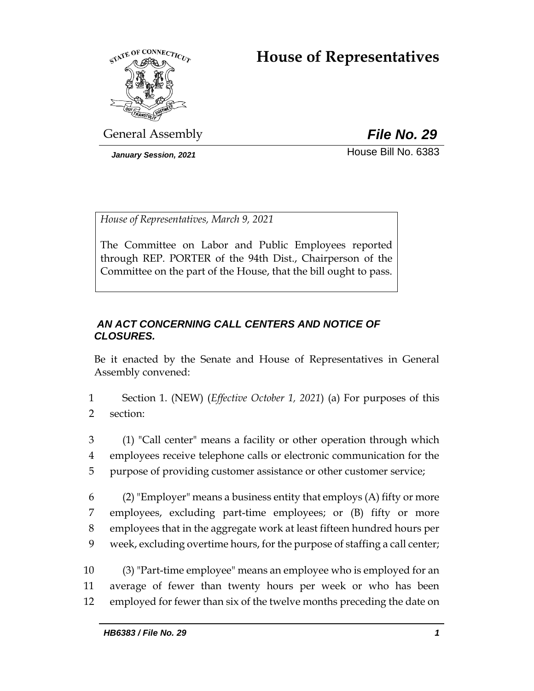# **House of Representatives**



General Assembly *File No. 29*

*January Session, 2021* **House Bill No. 6383** 

*House of Representatives, March 9, 2021*

The Committee on Labor and Public Employees reported through REP. PORTER of the 94th Dist., Chairperson of the Committee on the part of the House, that the bill ought to pass.

# *AN ACT CONCERNING CALL CENTERS AND NOTICE OF CLOSURES.*

Be it enacted by the Senate and House of Representatives in General Assembly convened:

1 Section 1. (NEW) (*Effective October 1, 2021*) (a) For purposes of this 2 section:

3 (1) "Call center" means a facility or other operation through which 4 employees receive telephone calls or electronic communication for the 5 purpose of providing customer assistance or other customer service;

 (2) "Employer" means a business entity that employs (A) fifty or more employees, excluding part-time employees; or (B) fifty or more employees that in the aggregate work at least fifteen hundred hours per week, excluding overtime hours, for the purpose of staffing a call center;

10 (3) "Part-time employee" means an employee who is employed for an 11 average of fewer than twenty hours per week or who has been 12 employed for fewer than six of the twelve months preceding the date on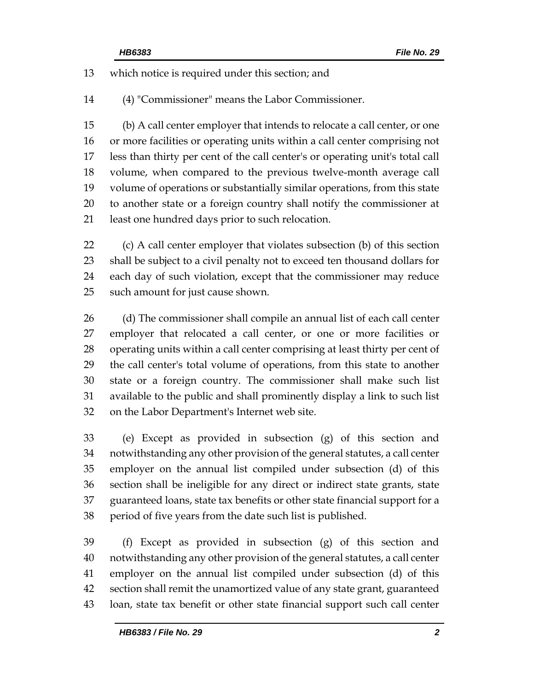which notice is required under this section; and

(4) "Commissioner" means the Labor Commissioner.

 (b) A call center employer that intends to relocate a call center, or one or more facilities or operating units within a call center comprising not less than thirty per cent of the call center's or operating unit's total call volume, when compared to the previous twelve-month average call volume of operations or substantially similar operations, from this state to another state or a foreign country shall notify the commissioner at least one hundred days prior to such relocation.

 (c) A call center employer that violates subsection (b) of this section shall be subject to a civil penalty not to exceed ten thousand dollars for each day of such violation, except that the commissioner may reduce such amount for just cause shown.

 (d) The commissioner shall compile an annual list of each call center employer that relocated a call center, or one or more facilities or operating units within a call center comprising at least thirty per cent of the call center's total volume of operations, from this state to another state or a foreign country. The commissioner shall make such list available to the public and shall prominently display a link to such list on the Labor Department's Internet web site.

 (e) Except as provided in subsection (g) of this section and notwithstanding any other provision of the general statutes, a call center employer on the annual list compiled under subsection (d) of this section shall be ineligible for any direct or indirect state grants, state guaranteed loans, state tax benefits or other state financial support for a period of five years from the date such list is published.

 (f) Except as provided in subsection (g) of this section and notwithstanding any other provision of the general statutes, a call center employer on the annual list compiled under subsection (d) of this section shall remit the unamortized value of any state grant, guaranteed loan, state tax benefit or other state financial support such call center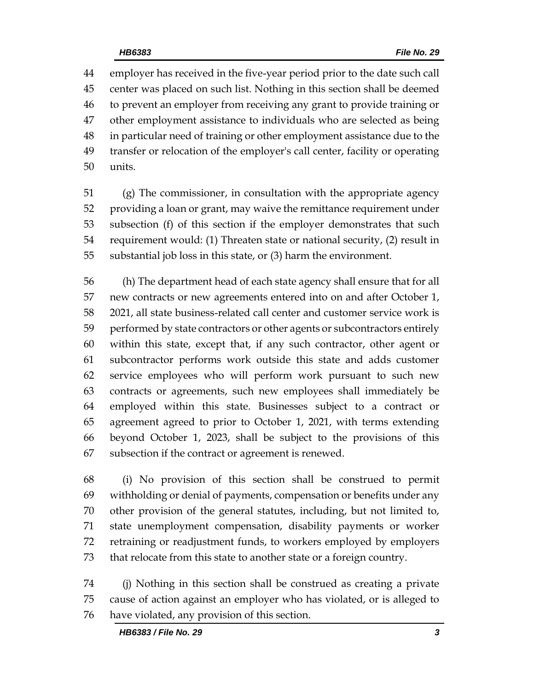employer has received in the five-year period prior to the date such call center was placed on such list. Nothing in this section shall be deemed to prevent an employer from receiving any grant to provide training or other employment assistance to individuals who are selected as being in particular need of training or other employment assistance due to the transfer or relocation of the employer's call center, facility or operating units.

 (g) The commissioner, in consultation with the appropriate agency providing a loan or grant, may waive the remittance requirement under subsection (f) of this section if the employer demonstrates that such requirement would: (1) Threaten state or national security, (2) result in substantial job loss in this state, or (3) harm the environment.

 (h) The department head of each state agency shall ensure that for all new contracts or new agreements entered into on and after October 1, 2021, all state business-related call center and customer service work is performed by state contractors or other agents or subcontractors entirely within this state, except that, if any such contractor, other agent or subcontractor performs work outside this state and adds customer service employees who will perform work pursuant to such new contracts or agreements, such new employees shall immediately be employed within this state. Businesses subject to a contract or agreement agreed to prior to October 1, 2021, with terms extending beyond October 1, 2023, shall be subject to the provisions of this subsection if the contract or agreement is renewed.

 (i) No provision of this section shall be construed to permit withholding or denial of payments, compensation or benefits under any other provision of the general statutes, including, but not limited to, state unemployment compensation, disability payments or worker retraining or readjustment funds, to workers employed by employers that relocate from this state to another state or a foreign country.

 (j) Nothing in this section shall be construed as creating a private cause of action against an employer who has violated, or is alleged to have violated, any provision of this section.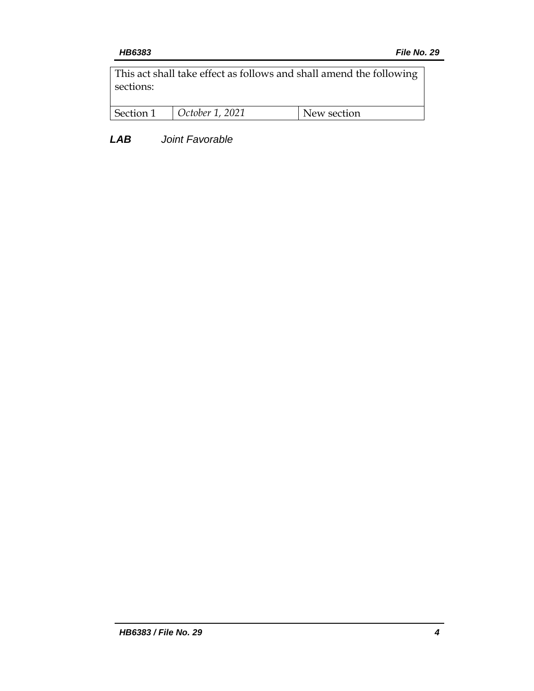This act shall take effect as follows and shall amend the following sections:

| Section 1 | October 1, 2021 | New section |
|-----------|-----------------|-------------|
|           |                 |             |

*LAB Joint Favorable*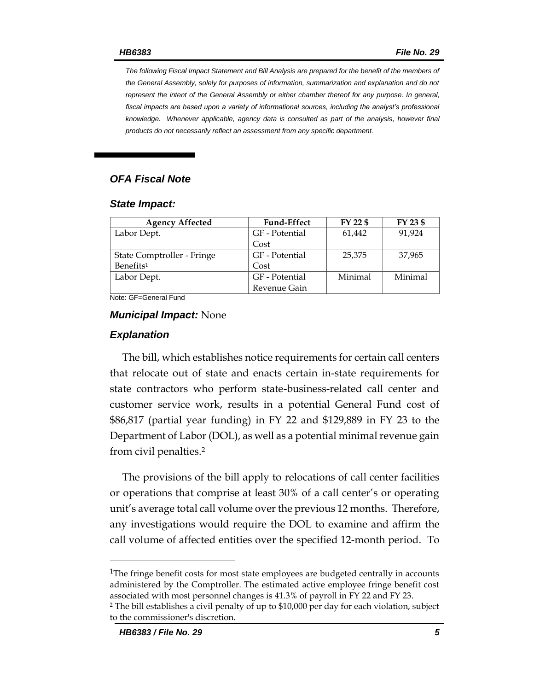*The following Fiscal Impact Statement and Bill Analysis are prepared for the benefit of the members of the General Assembly, solely for purposes of information, summarization and explanation and do not represent the intent of the General Assembly or either chamber thereof for any purpose. In general,*  fiscal impacts are based upon a variety of informational sources, including the analyst's professional *knowledge. Whenever applicable, agency data is consulted as part of the analysis, however final products do not necessarily reflect an assessment from any specific department.*

#### *OFA Fiscal Note*

#### *State Impact:*

| <b>Agency Affected</b>     | <b>Fund-Effect</b> | FY 22 \$ | FY 23 \$ |
|----------------------------|--------------------|----------|----------|
| Labor Dept.                | GF - Potential     | 61,442   | 91.924   |
|                            | Cost               |          |          |
| State Comptroller - Fringe | GF - Potential     | 25,375   | 37,965   |
| Benefits <sup>1</sup>      | Cost               |          |          |
| Labor Dept.                | GF - Potential     | Minimal  | Minimal  |
|                            | Revenue Gain       |          |          |

Note: GF=General Fund

#### *Municipal Impact:* None

#### *Explanation*

The bill, which establishes notice requirements for certain call centers that relocate out of state and enacts certain in-state requirements for state contractors who perform state-business-related call center and customer service work, results in a potential General Fund cost of \$86,817 (partial year funding) in FY 22 and \$129,889 in FY 23 to the Department of Labor (DOL), as well as a potential minimal revenue gain from civil penalties.<sup>2</sup>

The provisions of the bill apply to relocations of call center facilities or operations that comprise at least 30% of a call center's or operating unit's average total call volume over the previous 12 months. Therefore, any investigations would require the DOL to examine and affirm the call volume of affected entities over the specified 12-month period. To

<sup>1</sup>The fringe benefit costs for most state employees are budgeted centrally in accounts administered by the Comptroller. The estimated active employee fringe benefit cost associated with most personnel changes is 41.3% of payroll in FY 22 and FY 23.

 $\overline{a}$ 

<sup>2</sup> The bill establishes a civil penalty of up to \$10,000 per day for each violation, subject to the commissioner's discretion.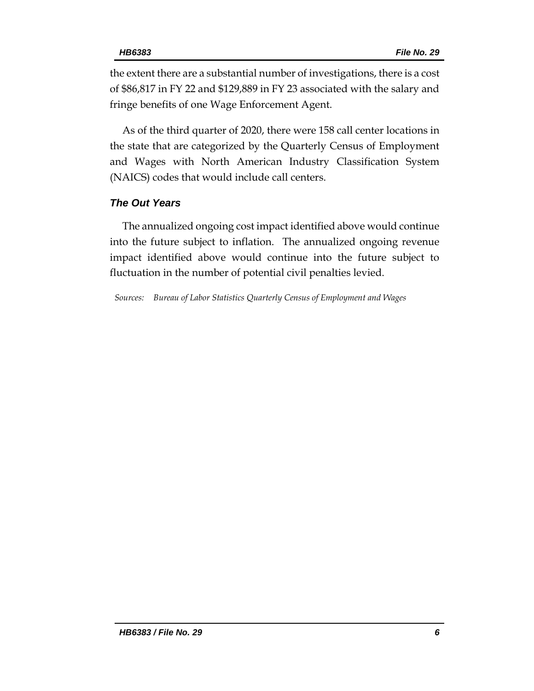the extent there are a substantial number of investigations, there is a cost of \$86,817 in FY 22 and \$129,889 in FY 23 associated with the salary and fringe benefits of one Wage Enforcement Agent.

As of the third quarter of 2020, there were 158 call center locations in the state that are categorized by the Quarterly Census of Employment and Wages with North American Industry Classification System (NAICS) codes that would include call centers.

### *The Out Years*

The annualized ongoing cost impact identified above would continue into the future subject to inflation. The annualized ongoing revenue impact identified above would continue into the future subject to fluctuation in the number of potential civil penalties levied.

*Sources: Bureau of Labor Statistics Quarterly Census of Employment and Wages*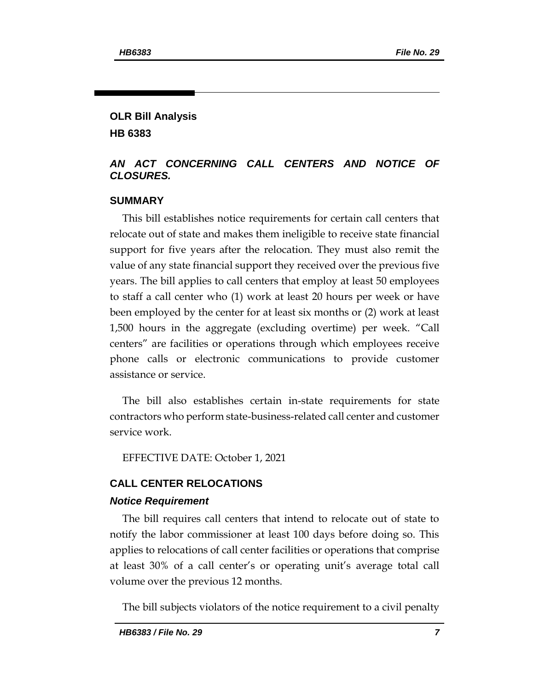### **OLR Bill Analysis HB 6383**

#### *AN ACT CONCERNING CALL CENTERS AND NOTICE OF CLOSURES.*

### **SUMMARY**

This bill establishes notice requirements for certain call centers that relocate out of state and makes them ineligible to receive state financial support for five years after the relocation. They must also remit the value of any state financial support they received over the previous five years. The bill applies to call centers that employ at least 50 employees to staff a call center who (1) work at least 20 hours per week or have been employed by the center for at least six months or (2) work at least 1,500 hours in the aggregate (excluding overtime) per week. "Call centers" are facilities or operations through which employees receive phone calls or electronic communications to provide customer assistance or service.

The bill also establishes certain in-state requirements for state contractors who perform state-business-related call center and customer service work.

EFFECTIVE DATE: October 1, 2021

### **CALL CENTER RELOCATIONS**

#### *Notice Requirement*

The bill requires call centers that intend to relocate out of state to notify the labor commissioner at least 100 days before doing so. This applies to relocations of call center facilities or operations that comprise at least 30% of a call center's or operating unit's average total call volume over the previous 12 months.

The bill subjects violators of the notice requirement to a civil penalty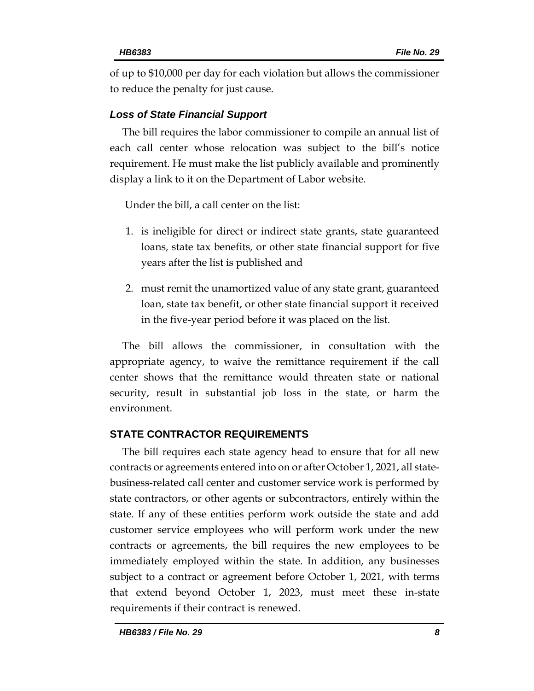of up to \$10,000 per day for each violation but allows the commissioner to reduce the penalty for just cause.

#### *Loss of State Financial Support*

The bill requires the labor commissioner to compile an annual list of each call center whose relocation was subject to the bill's notice requirement. He must make the list publicly available and prominently display a link to it on the Department of Labor website.

Under the bill, a call center on the list:

- 1. is ineligible for direct or indirect state grants, state guaranteed loans, state tax benefits, or other state financial support for five years after the list is published and
- 2. must remit the unamortized value of any state grant, guaranteed loan, state tax benefit, or other state financial support it received in the five-year period before it was placed on the list.

The bill allows the commissioner, in consultation with the appropriate agency, to waive the remittance requirement if the call center shows that the remittance would threaten state or national security, result in substantial job loss in the state, or harm the environment.

#### **STATE CONTRACTOR REQUIREMENTS**

The bill requires each state agency head to ensure that for all new contracts or agreements entered into on or after October 1, 2021, all statebusiness-related call center and customer service work is performed by state contractors, or other agents or subcontractors, entirely within the state. If any of these entities perform work outside the state and add customer service employees who will perform work under the new contracts or agreements, the bill requires the new employees to be immediately employed within the state. In addition, any businesses subject to a contract or agreement before October 1, 2021, with terms that extend beyond October 1, 2023, must meet these in-state requirements if their contract is renewed.